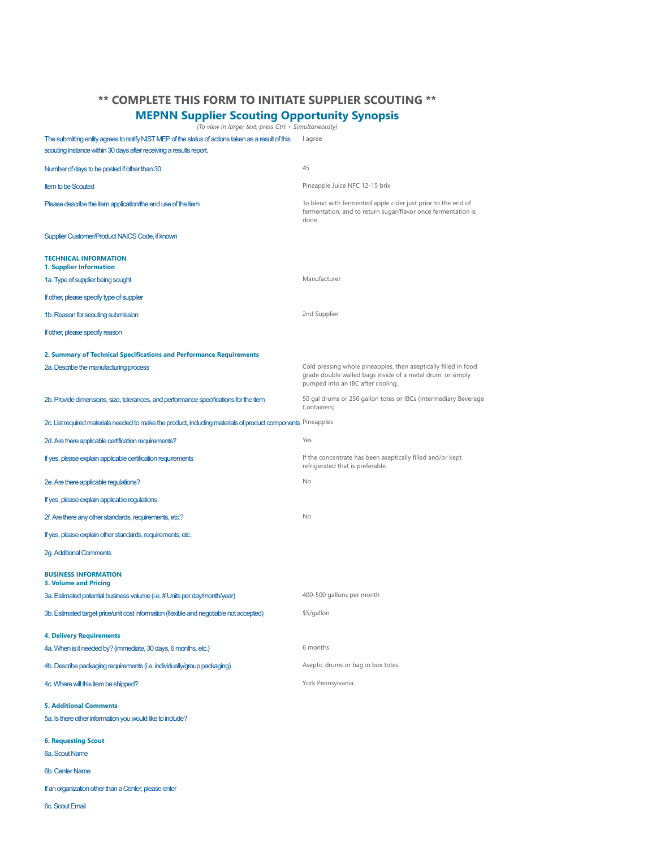## **\*\* COMPLETE THIS FORM TO INITIATE SUPPLIER SCOUTING \*\***

## **MEPNN Supplier Scouting Opportunity Synopsis**

*(To view in larger text, press Ctrl + Simultaneously)*

The submitting entity agrees to notify NIST MEP of the status of actions taken as a result of this lagree scouting instance within 30 days after receiving a results report.

| Number of days to be posted if other than 30                                                                 | 45                                                                                                                                                                 |  |
|--------------------------------------------------------------------------------------------------------------|--------------------------------------------------------------------------------------------------------------------------------------------------------------------|--|
| <b>Item to be Scouted</b>                                                                                    | Pineapple Juice NFC 12-15 brix                                                                                                                                     |  |
| Please describe the item application/the end use of the item                                                 | To blend with fermented apple cider just prior to the end of<br>fermentation, and to return sugar/flavor once fermentation is<br>done.                             |  |
| Supplier Customer/Product NAICS Code, if known                                                               |                                                                                                                                                                    |  |
| <b>TECHNICAL INFORMATION</b><br>1. Supplier Information                                                      |                                                                                                                                                                    |  |
| 1a. Type of supplier being sought                                                                            | Manufacturer                                                                                                                                                       |  |
| If other, please specify type of supplier                                                                    |                                                                                                                                                                    |  |
| 1b. Reason for scouting submission                                                                           | 2nd Supplier                                                                                                                                                       |  |
| If other, please specify reason                                                                              |                                                                                                                                                                    |  |
| 2. Summary of Technical Specifications and Performance Requirements                                          |                                                                                                                                                                    |  |
| 2a. Describe the manufacturing process                                                                       | Cold pressing whole pineapples, then aseptically filled in food<br>grade double walled bags inside of a metal drum, or simply<br>pumped into an IBC after cooling. |  |
| 2b. Provide dimensions, size, tolerances, and performance specifications for the item                        | 50 gal drums or 250 gallon totes or IBCs (Intermediary Beverage<br>Containers)                                                                                     |  |
| 2c. List required materials needed to make the product, including materials of product components Pineapples |                                                                                                                                                                    |  |
| 2d. Are there applicable certification requirements?                                                         | Yes                                                                                                                                                                |  |
| If yes, please explain applicable certification requirements                                                 | If the concentrate has been aseptically filled and/or kept<br>refrigerated that is preferable.                                                                     |  |
| 2e. Are there applicable regulations?                                                                        | No                                                                                                                                                                 |  |
| If yes, please explain applicable regulations                                                                |                                                                                                                                                                    |  |
| 2f. Are there any other standards, requirements, etc.?                                                       | No                                                                                                                                                                 |  |
| If yes, please explain other standards, requirements, etc.                                                   |                                                                                                                                                                    |  |
| 2g. Additional Comments                                                                                      |                                                                                                                                                                    |  |
| <b>BUSINESS INFORMATION</b><br><b>3. Volume and Pricing</b>                                                  |                                                                                                                                                                    |  |
| 3a. Estimated potential business volume (i.e. # Units per day/month/year)                                    | 400-500 gallons per month                                                                                                                                          |  |
| 3b. Estimated target price/unit cost information (flexible and negotiable not accepted)                      | \$5/gallon                                                                                                                                                         |  |
| <b>4. Delivery Requirements</b>                                                                              |                                                                                                                                                                    |  |
| 4a. When is it needed by? (immediate, 30 days, 6 months, etc.)                                               | 6 months                                                                                                                                                           |  |
| 4b. Describe packaging requirements (i.e. individually/group packaging)                                      | Aseptic drums or bag in box totes.                                                                                                                                 |  |
| 4c. Where will this item be shipped?                                                                         | York Pennsylvania.                                                                                                                                                 |  |
| <b>5. Additional Comments</b><br>5a. Is there other information you would like to include?                   |                                                                                                                                                                    |  |
| <b>6. Requesting Scout</b>                                                                                   |                                                                                                                                                                    |  |
| 6a. Scout Name                                                                                               |                                                                                                                                                                    |  |
| 6b. Center Name                                                                                              |                                                                                                                                                                    |  |
| If an organization other than a Center, please enter                                                         |                                                                                                                                                                    |  |
| 6c. Scout Email                                                                                              |                                                                                                                                                                    |  |